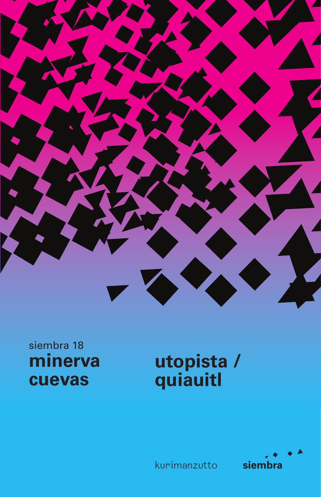

## siembra 18 minerva cuevas

## utopista /<br>quiauitl



kurimanzutto